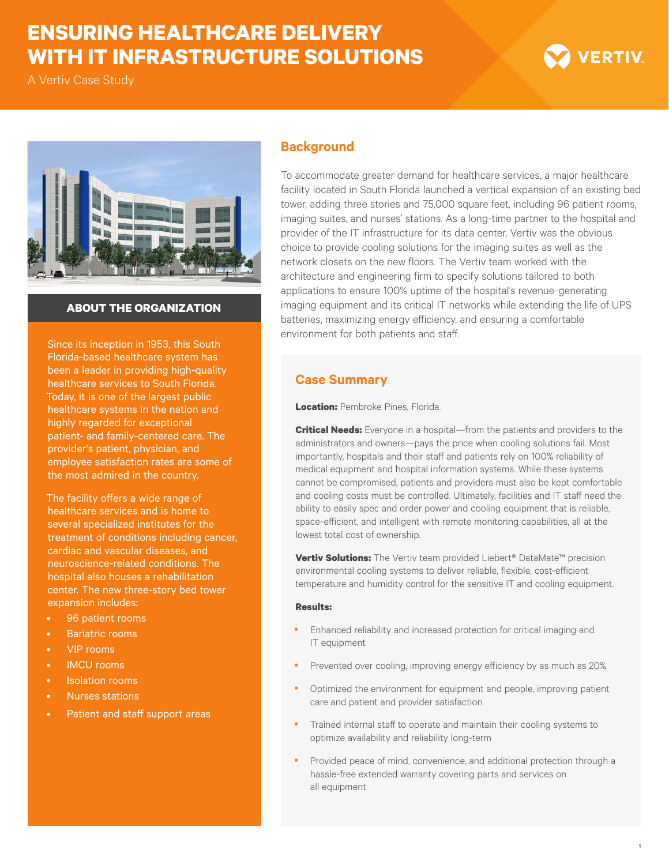## **ENSURING HEALTHCARE DELIVERY WITH IT INFRASTRUCTURE SOLUTIONS**

A Vertiv Case Study





## **ABOUT THE ORGANIZATION**

Since its inception in 1953, this South Florida-based healthcare system has been a leader in providing high-quality healthcare services to South Florida. Today, it is one of the largest public healthcare systems in the nation and highly regarded for exceptional patient- and family-centered care. The provider's patient, physician, and employee satisfaction rates are some of the most admired in the country.

The facility offers a wide range of healthcare services and is home to several specialized institutes for the treatment of conditions including cancer, cardiac and vascular diseases, and neuroscience-related conditions. The hospital also houses a rehabilitation center. The new three-story bed tower expansion includes:

- 96 patient rooms
- Bariatric rooms
- VIP rooms
- IMCU rooms
- **Isolation rooms**
- Nurses stations
- Patient and staff support areas

## **Background**

To accommodate greater demand for healthcare services, a major healthcare facility located in South Florida launched a vertical expansion of an existing bed tower, adding three stories and 75,000 square feet, including 96 patient rooms, imaging suites, and nurses' stations. As a long-time partner to the hospital and provider of the IT infrastructure for its data center, Vertiv was the obvious choice to provide cooling solutions for the imaging suites as well as the network closets on the new floors. The Vertiv team worked with the architecture and engineering firm to specify solutions tailored to both applications to ensure 100% uptime of the hospital's revenue-generating imaging equipment and its critical IT networks while extending the life of UPS batteries, maximizing energy efficiency, and ensuring a comfortable environment for both patients and staff.

## **Case Summary**

**Location: Pembroke Pines, Florida.** 

**Critical Needs:** Everyone in a hospital—from the patients and providers to the administrators and owners—pays the price when cooling solutions fail. Most importantly, hospitals and their staff and patients rely on 100% reliability of medical equipment and hospital information systems. While these systems cannot be compromised, patients and providers must also be kept comfortable and cooling costs must be controlled. Ultimately, facilities and IT staff need the ability to easily spec and order power and cooling equipment that is reliable, space-efficient, and intelligent with remote monitoring capabilities, all at the lowest total cost of ownership.

**Vertiv Solutions:** The Vertiv team provided Liebert® DataMate™ precision environmental cooling systems to deliver reliable, flexible, cost-efficient temperature and humidity control for the sensitive IT and cooling equipment.

#### **Results:**

- Enhanced reliability and increased protection for critical imaging and IT equipment
- Prevented over cooling, improving energy efficiency by as much as 20%
- Optimized the environment for equipment and people, improving patient care and patient and provider satisfaction
- Trained internal staff to operate and maintain their cooling systems to optimize availability and reliability long-term
- Provided peace of mind, convenience, and additional protection through a hassle-free extended warranty covering parts and services on all equipment